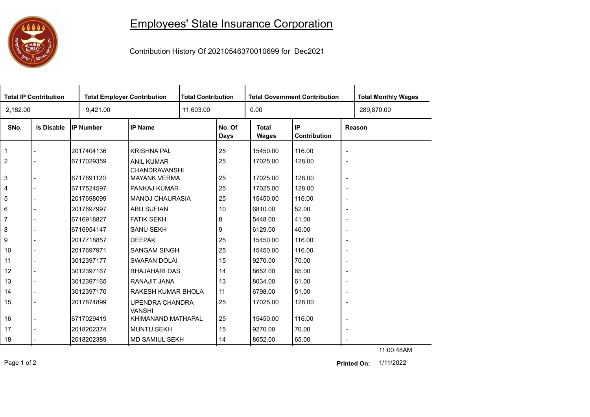

## Employees' State Insurance Corporation

Contribution History Of 20210546370010699 for Dec2021

| <b>Total IP Contribution</b> |                   |                  | <b>Total Employer Contribution</b>      |           | <b>Total Contribution</b> |                              | <b>Total Government Contribution</b> | <b>Total Monthly Wages</b> |            |  |
|------------------------------|-------------------|------------------|-----------------------------------------|-----------|---------------------------|------------------------------|--------------------------------------|----------------------------|------------|--|
| 2,182.00                     |                   | 9,421.00         |                                         | 11,603.00 |                           | 0.00                         |                                      |                            | 289,870.00 |  |
| SNo.                         | <b>Is Disable</b> | <b>IP Number</b> | <b>IP Name</b>                          |           | No. Of<br>Days            | <b>Total</b><br><b>Wages</b> | IP<br>Contribution                   | Reason                     |            |  |
| $\overline{1}$               |                   | 2017404136       | <b>KRISHNA PAL</b>                      |           | 25                        | 15450.00                     | 116.00                               | $\overline{\phantom{a}}$   |            |  |
| $\overline{2}$               |                   | 6717029359       | <b>ANIL KUMAR</b>                       |           | 25                        | 17025.00                     | 128.00                               | $\overline{\phantom{a}}$   |            |  |
| $\mathsf 3$                  |                   | 6717691120       | CHANDRAVANSHI<br><b>MAYANK VERMA</b>    |           | 25                        | 17025.00                     | 128.00                               | $\overline{\phantom{a}}$   |            |  |
| 4                            |                   | 6717524597       | PANKAJ KUMAR                            |           | 25                        | 17025.00                     | 128.00                               | $\overline{\phantom{a}}$   |            |  |
| 5                            |                   | l2017698099      | <b>MANOJ CHAURASIA</b>                  |           | 25                        | 15450.00                     | 116.00                               | $\overline{\phantom{a}}$   |            |  |
| $\,6\,$                      |                   | 2017697997       | <b>ABU SUFIAN</b>                       |           | 10                        | 6810.00                      | 52.00                                | $\overline{\phantom{a}}$   |            |  |
| $\overline{7}$               |                   | 6716918827       | <b>FATIK SEKH</b>                       |           | 8                         | 5448.00                      | 41.00                                | $\overline{\phantom{a}}$   |            |  |
| 8                            |                   | 6716954147       | <b>SANU SEKH</b>                        |           | 9                         | 6129.00                      | 46.00                                | $\overline{\phantom{a}}$   |            |  |
| 9                            |                   | l2017718857      | <b>DEEPAK</b>                           |           | 25                        | 15450.00                     | 116.00                               | $\overline{\phantom{a}}$   |            |  |
| 10                           |                   | 12017697971      | <b>SANGAM SINGH</b>                     |           | 25                        | 15450.00                     | 116.00                               | $\overline{\phantom{a}}$   |            |  |
| 11                           |                   | 3012397177       | <b>SWAPAN DOLAI</b>                     |           | 15                        | 9270.00                      | 70.00                                | $\overline{\phantom{a}}$   |            |  |
| 12                           |                   | 3012397167       | <b>BHAJAHARI DAS</b>                    |           | 14                        | 8652.00                      | 65.00                                | $\overline{\phantom{a}}$   |            |  |
| 13                           |                   | 3012397165       | RANAJIT JANA                            |           | 13                        | 8034.00                      | 61.00                                | $\overline{\phantom{a}}$   |            |  |
| 14                           |                   | 3012397170       | RAKESH KUMAR BHOLA                      |           | 11                        | 6798.00                      | 51.00                                | $\overline{\phantom{a}}$   |            |  |
| 15                           |                   | 2017874899       | <b>UPENDRA CHANDRA</b><br><b>VANSHI</b> |           | 25                        | 17025.00                     | 128.00                               | $\overline{\phantom{a}}$   |            |  |
| 16                           |                   | 6717029419       | KHIMANAND MATHAPAL                      |           | 25                        | 15450.00                     | 116.00                               | $\overline{\phantom{a}}$   |            |  |
| 17                           |                   | 2018202374       | <b>MUNTU SEKH</b>                       |           | 15                        | 9270.00                      | 70.00                                | $\overline{\phantom{a}}$   |            |  |
| 18                           |                   | 2018202389       | <b>MD SAMIUL SEKH</b>                   |           | 14                        | 8652.00                      | 65.00                                |                            |            |  |

Page 1 of 2 1/11/2022 **Printed On:**

11:00:48AM